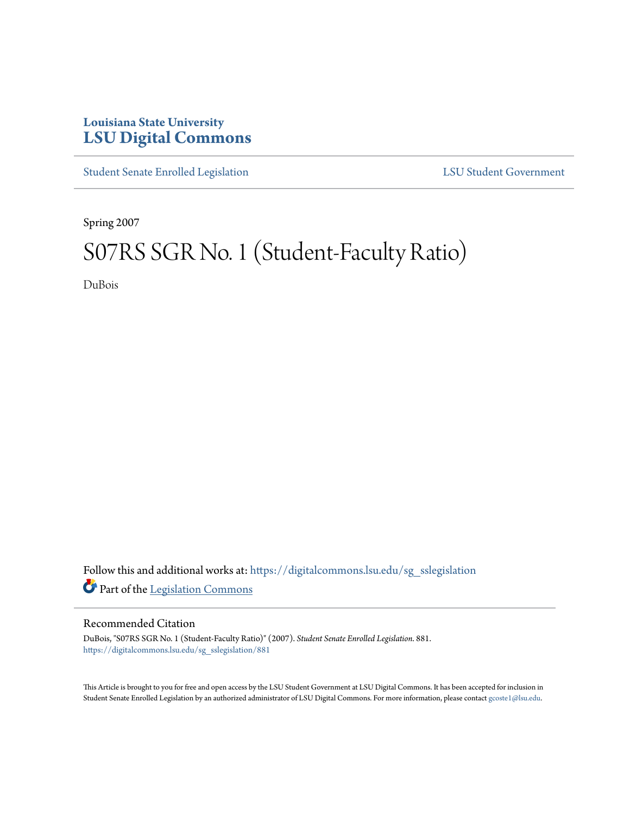## **Louisiana State University [LSU Digital Commons](https://digitalcommons.lsu.edu?utm_source=digitalcommons.lsu.edu%2Fsg_sslegislation%2F881&utm_medium=PDF&utm_campaign=PDFCoverPages)**

[Student Senate Enrolled Legislation](https://digitalcommons.lsu.edu/sg_sslegislation?utm_source=digitalcommons.lsu.edu%2Fsg_sslegislation%2F881&utm_medium=PDF&utm_campaign=PDFCoverPages) [LSU Student Government](https://digitalcommons.lsu.edu/sg?utm_source=digitalcommons.lsu.edu%2Fsg_sslegislation%2F881&utm_medium=PDF&utm_campaign=PDFCoverPages)

Spring 2007

## S07RS SGR No. 1 (Student-Faculty Ratio)

DuBois

Follow this and additional works at: [https://digitalcommons.lsu.edu/sg\\_sslegislation](https://digitalcommons.lsu.edu/sg_sslegislation?utm_source=digitalcommons.lsu.edu%2Fsg_sslegislation%2F881&utm_medium=PDF&utm_campaign=PDFCoverPages) Part of the [Legislation Commons](http://network.bepress.com/hgg/discipline/859?utm_source=digitalcommons.lsu.edu%2Fsg_sslegislation%2F881&utm_medium=PDF&utm_campaign=PDFCoverPages)

## Recommended Citation

DuBois, "S07RS SGR No. 1 (Student-Faculty Ratio)" (2007). *Student Senate Enrolled Legislation*. 881. [https://digitalcommons.lsu.edu/sg\\_sslegislation/881](https://digitalcommons.lsu.edu/sg_sslegislation/881?utm_source=digitalcommons.lsu.edu%2Fsg_sslegislation%2F881&utm_medium=PDF&utm_campaign=PDFCoverPages)

This Article is brought to you for free and open access by the LSU Student Government at LSU Digital Commons. It has been accepted for inclusion in Student Senate Enrolled Legislation by an authorized administrator of LSU Digital Commons. For more information, please contact [gcoste1@lsu.edu.](mailto:gcoste1@lsu.edu)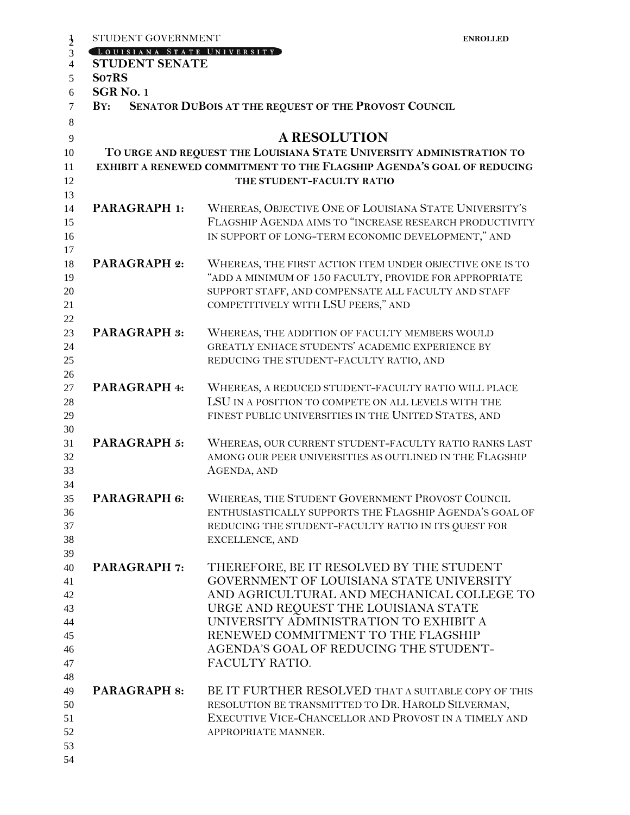| STUDENT GOVERNMENT             | <b>ENROLLED</b>                                                                                                                                                                                                                                                                                                        |
|--------------------------------|------------------------------------------------------------------------------------------------------------------------------------------------------------------------------------------------------------------------------------------------------------------------------------------------------------------------|
| LOUISIANA STATE UNIVERSITY     |                                                                                                                                                                                                                                                                                                                        |
| <b>STUDENT SENATE</b><br>So7RS |                                                                                                                                                                                                                                                                                                                        |
| <b>SGR No. 1</b>               |                                                                                                                                                                                                                                                                                                                        |
| BY:                            | SENATOR DUBOIS AT THE REQUEST OF THE PROVOST COUNCIL                                                                                                                                                                                                                                                                   |
|                                |                                                                                                                                                                                                                                                                                                                        |
|                                | <b>A RESOLUTION</b>                                                                                                                                                                                                                                                                                                    |
|                                | TO URGE AND REQUEST THE LOUISIANA STATE UNIVERSITY ADMINISTRATION TO<br>EXHIBIT A RENEWED COMMITMENT TO THE FLAGSHIP AGENDA'S GOAL OF REDUCING<br>THE STUDENT-FACULTY RATIO                                                                                                                                            |
| <b>PARAGRAPH 1:</b>            | WHEREAS, OBJECTIVE ONE OF LOUISIANA STATE UNIVERSITY'S<br>FLAGSHIP AGENDA AIMS TO "INCREASE RESEARCH PRODUCTIVITY<br>IN SUPPORT OF LONG-TERM ECONOMIC DEVELOPMENT," AND                                                                                                                                                |
| <b>PARAGRAPH 2:</b>            | WHEREAS, THE FIRST ACTION ITEM UNDER OBJECTIVE ONE IS TO<br>"ADD A MINIMUM OF 150 FACULTY, PROVIDE FOR APPROPRIATE<br>SUPPORT STAFF, AND COMPENSATE ALL FACULTY AND STAFF<br>COMPETITIVELY WITH LSU PEERS," AND                                                                                                        |
| <b>PARAGRAPH 3:</b>            | WHEREAS, THE ADDITION OF FACULTY MEMBERS WOULD<br>GREATLY ENHACE STUDENTS' ACADEMIC EXPERIENCE BY<br>REDUCING THE STUDENT-FACULTY RATIO, AND                                                                                                                                                                           |
| PARAGRAPH 4:                   | WHEREAS, A REDUCED STUDENT-FACULTY RATIO WILL PLACE<br>LSU IN A POSITION TO COMPETE ON ALL LEVELS WITH THE<br>FINEST PUBLIC UNIVERSITIES IN THE UNITED STATES, AND                                                                                                                                                     |
| PARAGRAPH 5:                   | WHEREAS, OUR CURRENT STUDENT-FACULTY RATIO RANKS LAST<br>AMONG OUR PEER UNIVERSITIES AS OUTLINED IN THE FLAGSHIP<br>AGENDA, AND                                                                                                                                                                                        |
| PARAGRAPH 6:                   | WHEREAS, THE STUDENT GOVERNMENT PROVOST COUNCIL<br>ENTHUSIASTICALLY SUPPORTS THE FLAGSHIP AGENDA'S GOAL OF<br>REDUCING THE STUDENT-FACULTY RATIO IN ITS QUEST FOR<br>EXCELLENCE, AND                                                                                                                                   |
| <b>PARAGRAPH 7:</b>            | THEREFORE, BE IT RESOLVED BY THE STUDENT<br>GOVERNMENT OF LOUISIANA STATE UNIVERSITY<br>AND AGRICULTURAL AND MECHANICAL COLLEGE TO<br>URGE AND REQUEST THE LOUISIANA STATE<br>UNIVERSITY ADMINISTRATION TO EXHIBIT A<br>RENEWED COMMITMENT TO THE FLAGSHIP<br>AGENDA'S GOAL OF REDUCING THE STUDENT-<br>FACULTY RATIO. |
| <b>PARAGRAPH 8:</b>            | BE IT FURTHER RESOLVED THAT A SUITABLE COPY OF THIS<br>RESOLUTION BE TRANSMITTED TO DR. HAROLD SILVERMAN,<br>EXECUTIVE VICE-CHANCELLOR AND PROVOST IN A TIMELY AND<br>APPROPRIATE MANNER.                                                                                                                              |